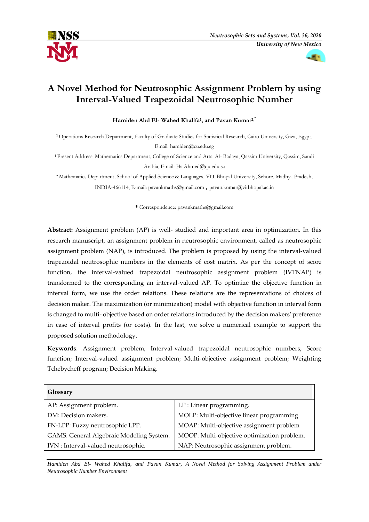



# **A Novel Method for Neutrosophic Assignment Problem by using Interval-Valued Trapezoidal Neutrosophic Number**

**Hamiden Abd El- Wahed Khalifa<sup>1</sup> , and Pavan Kumar2**,\*

**<sup>1</sup>** Operations Research Department, Faculty of Graduate Studies for Statistical Research, Cairo University, Giza, Egypt, Email: hamiden@cu.edu.eg

**<sup>1</sup>** Present Address: Mathematics Department, College of Science and Arts, Al- Badaya, Qassim University, Qassim, Saudi Arabia, Email: Ha.Ahmed@qu.edu.sa

**<sup>2</sup>** Mathematics Department, School of Applied Science & Languages, VIT Bhopal University, Sehore, Madhya Pradesh, INDIA-466114, E-mail[: pavankmaths@gmail.com](mailto:pavankmaths@gmail.com) *,* [pavan.kumar@vitbhopal.ac.in](mailto:pavan.kumar@vitbhopal.ac.in)

**\*** Correspondence[: pavankmaths@gmail.com](mailto:pavankmaths@gmail.com)

**Abstract:** Assignment problem (AP) is well- studied and important area in optimization. In this research manuscript, an assignment problem in neutrosophic environment, called as neutrosophic assignment problem (NAP), is introduced. The problem is proposed by using the interval-valued trapezoidal neutrosophic numbers in the elements of cost matrix. As per the concept of score function, the interval-valued trapezoidal neutrosophic assignment problem (IVTNAP) is transformed to the corresponding an interval-valued AP. To optimize the objective function in interval form, we use the order relations. These relations are the representations of choices of decision maker. The maximization (or minimization) model with objective function in interval form is changed to multi- objective based on order relations introduced by the decision makers' preference in case of interval profits (or costs). In the last, we solve a numerical example to support the proposed solution methodology.

**Keywords**: Assignment problem; Interval-valued trapezoidal neutrosophic numbers; Score function; Interval-valued assignment problem; Multi-objective assignment problem; Weighting Tchebycheff program; Decision Making.

| Glossary                                 |                                             |
|------------------------------------------|---------------------------------------------|
| AP: Assignment problem.                  | LP: Linear programming.                     |
| DM: Decision makers.                     | MOLP: Multi-objective linear programming    |
| FN-LPP: Fuzzy neutrosophic LPP.          | MOAP: Multi-objective assignment problem    |
| GAMS: General Algebraic Modeling System. | MOOP: Multi-objective optimization problem. |
| IVN : Interval-valued neutrosophic.      | NAP: Neutrosophic assignment problem.       |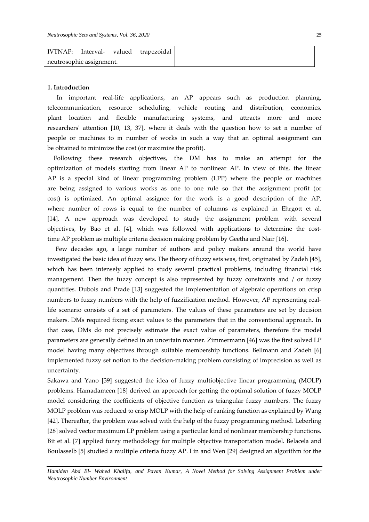| IVTNAP:<br>Interval- valued trapezoidal |
|-----------------------------------------|
| neutrosophic assignment.                |

#### **1. Introduction**

 In important real-life applications, an AP appears such as production planning, telecommunication, resource scheduling, vehicle routing and distribution, economics, plant location and flexible manufacturing systems, and attracts more and more researchers' attention [10, 13, 37], where it deals with the question how to set n number of people or machines to m number of works in such a way that an optimal assignment can be obtained to minimize the cost (or maximize the profit).

 Following these research objectives, the DM has to make an attempt for the optimization of models starting from linear AP to nonlinear AP. In view of this, the linear AP is a special kind of linear programming problem (LPP) where the people or machines are being assigned to various works as one to one rule so that the assignment profit (or cost) is optimized. An optimal assignee for the work is a good description of the AP, where number of rows is equal to the number of columns as explained in Ehrgott et al. [14]. A new approach was developed to study the assignment problem with several objectives, by Bao et al. [4], which was followed with applications to determine the costtime AP problem as multiple criteria decision making problem by Geetha and Nair [16].

 Few decades ago, a large number of authors and policy makers around the world have investigated the basic idea of fuzzy sets. The theory of fuzzy sets was, first, originated by Zadeh [45], which has been intensely applied to study several practical problems, including financial risk management. Then the fuzzy concept is also represented by fuzzy constraints and / or fuzzy quantities. Dubois and Prade [13] suggested the implementation of algebraic operations on crisp numbers to fuzzy numbers with the help of fuzzification method. However, AP representing reallife scenario consists of a set of parameters. The values of these parameters are set by decision makers. DMs required fixing exact values to the parameters that in the conventional approach. In that case, DMs do not precisely estimate the exact value of parameters, therefore the model parameters are generally defined in an uncertain manner. Zimmermann [46] was the first solved LP model having many objectives through suitable membership functions. Bellmann and Zadeh [6] implemented fuzzy set notion to the decision-making problem consisting of imprecision as well as uncertainty.

Sakawa and Yano [39] suggested the idea of fuzzy multiobjective linear programming (MOLP) problems. Hamadameen [18] derived an approach for getting the optimal solution of fuzzy MOLP model considering the coefficients of objective function as triangular fuzzy numbers. The fuzzy MOLP problem was reduced to crisp MOLP with the help of ranking function as explained by Wang [42]. Thereafter, the problem was solved with the help of the fuzzy programming method. Leberling [28] solved vector maximum LP problem using a particular kind of nonlinear membership functions. Bit et al. [7] applied fuzzy methodology for multiple objective transportation model. Belacela and Boulasselb [5] studied a multiple criteria fuzzy AP. Lin and Wen [29] designed an algorithm for the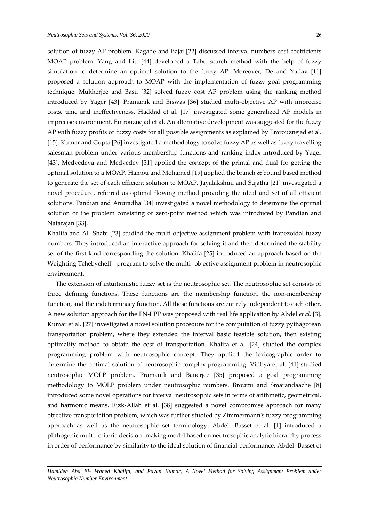solution of fuzzy AP problem. Kagade and Bajaj [22] discussed interval numbers cost coefficients MOAP problem. Yang and Liu [44] developed a Tabu search method with the help of fuzzy simulation to determine an optimal solution to the fuzzy AP. Moreover, De and Yadav [11] proposed a solution approach to MOAP with the implementation of fuzzy goal programming technique. Mukherjee and Basu [32] solved fuzzy cost AP problem using the ranking method introduced by Yager [43]. Pramanik and Biswas [36] studied multi-objective AP with imprecise costs, time and ineffectiveness. Haddad et al. [17] investigated some generalized AP models in imprecise environment. Emrouznejad et al. An alternative development was suggested for the fuzzy AP with fuzzy profits or fuzzy costs for all possible assignments as explained by Emrouznejad et al. [15]. Kumar and Gupta [26] investigated a methodology to solve fuzzy AP as well as fuzzy travelling salesman problem under various membership functions and ranking index introduced by Yager [43]. Medvedeva and Medvedev [31] applied the concept of the primal and dual for getting the optimal solution to a MOAP. Hamou and Mohamed [19] applied the branch & bound based method to generate the set of each efficient solution to MOAP. Jayalakshmi and Sujatha [21] investigated a novel procedure, referred as optimal flowing method providing the ideal and set of all efficient solutions. Pandian and Anuradha [34] investigated a novel methodology to determine the optimal solution of the problem consisting of zero-point method which was introduced by Pandian and Natarajan [33].

Khalifa and Al- Shabi [23] studied the multi-objective assignment problem with trapezoidal fuzzy numbers. They introduced an interactive approach for solving it and then determined the stability set of the first kind corresponding the solution. Khalifa [25] introduced an approach based on the Weighting Tchebycheff program to solve the multi- objective assignment problem in neutrosophic environment.

 The extension of intuitionistic fuzzy set is the neutrosophic set. The neutrosophic set consists of three defining functions. These functions are the membership function, the non-membership function, and the indeterminacy function. All these functions are entirely independent to each other. A new solution approach for the FN-LPP was proposed with real life application by Abdel *et al.* [3]. Kumar et al. [27] investigated a novel solution procedure for the computation of fuzzy pythagorean transportation problem, where they extended the interval basic feasible solution, then existing optimality method to obtain the cost of transportation. Khalifa et al. [24] studied the complex programming problem with neutrosophic concept. They applied the lexicographic order to determine the optimal [solution of neutrosophic complex programming. Vidhya et al. \[41\]](http://fs.unm.edu/NSS/OnOptimizingNeutrosophic20.pdf) studied [neutrosophic MOLP problem. Pramanik and Banerjee \[35\] proposed a goal programming](http://fs.unm.edu/NSS/OnOptimizingNeutrosophic20.pdf)  [methodology to MOLP problem under neutrosophic numbers.](http://fs.unm.edu/NSS/OnOptimizingNeutrosophic20.pdf) Broumi and Smarandaache [8] [introduced some novel operations for interval neutrosophic sets in terms of arithmetic, geometrical,](http://fs.unm.edu/NSS/OnOptimizingNeutrosophic20.pdf)  [and harmonic means. Rizk-Allah et al. \[38\] suggested a novel compromise approach for many](http://fs.unm.edu/NSS/OnOptimizingNeutrosophic20.pdf)  [objective transportation problem, which was further studied by Zimmermann's fuzzy](http://fs.unm.edu/NSS/OnOptimizingNeutrosophic20.pdf) programming [approach as well as the neutrosophic set terminology.](http://fs.unm.edu/NSS/OnOptimizingNeutrosophic20.pdf) Abdel- Basset et al. [1] introduced a plithogenic multi- criteria decision- [making model based on neutrosophic analytic hierarchy process](http://fs.unm.edu/NSS/OnOptimizingNeutrosophic20.pdf)  [in order of performance by similarity to the ideal solution of financial performance. Abdel-](http://fs.unm.edu/NSS/OnOptimizingNeutrosophic20.pdf) Basset et

*Hamiden Abd El- Wahed Khalifa, and Pavan Kumar, A Novel Method for Solving Assignment Problem under Neutrosophic Number Environment*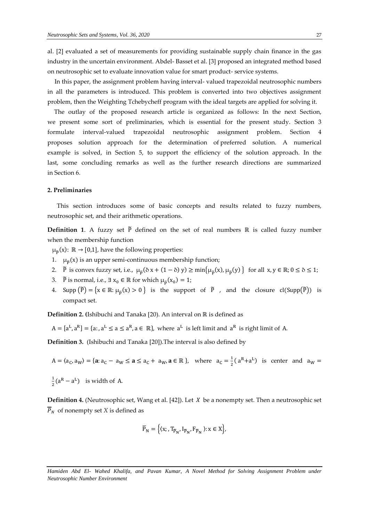[al. \[2\] evaluated a set of measurements for providing sustainable supply chain finance in the gas](http://fs.unm.edu/NSS/OnOptimizingNeutrosophic20.pdf)  [industry in the uncertain environment.](http://fs.unm.edu/NSS/OnOptimizingNeutrosophic20.pdf) Abdel- Basset et al. [3] proposed an integrated method based [on neutrosophic set to evaluate innovation value for smart product-](http://fs.unm.edu/NSS/OnOptimizingNeutrosophic20.pdf) service systems.

In this paper, the assignment problem having interval- valued trapezoidal neutrosophic numbers in all the parameters is introduced. This problem is converted into two objectives assignment problem, then the Weighting Tchebycheff program with the ideal targets are applied for solving it.

 The outlay of the proposed research article is organized as follows: In the next Section, we present some sort of preliminaries, which is essential for the present study. Section 3 formulate interval-valued trapezoidal neutrosophic assignment problem. Section 4 proposes solution approach for the determination of preferred solution. A numerical example is solved, in Section 5, to support the efficiency of the solution approach. In the last, some concluding remarks as well as the further research directions are summarized in Section 6.

## **2. Preliminaries**

 This section introduces some of basic concepts and results related to fuzzy numbers, neutrosophic set, and their arithmetic operations.

**Definition 1**. A fuzzy set P defined on the set of real numbers ℝ is called fuzzy number when the membership function

 $\mu_{\tilde{P}}(x)$ :  $\mathbb{R} \to [0,1]$ , have the following properties:

- 1.  $\mu_{\tilde{p}}(x)$  is an upper semi-continuous membership function;
- 2.  $\tilde{P}$  is convex fuzzy set, i.e.,  $\mu_{\tilde{P}}(\delta x + (1 \delta) y) \ge \min\{\mu_{\tilde{P}}(x), \mu_{\tilde{P}}(y)\}\)$  for all  $x, y \in \mathbb{R}; 0 \le \delta \le 1;$
- 3. P̃ is normal, i.e.,  $\exists x_0 \in \mathbb{R}$  for which  $\mu_{\tilde{P}}(x_0) = 1$ ;
- 4. Supp  $(\tilde{P}) = \{x \in \mathbb{R} : \mu_{\tilde{P}}(x) > 0\}$  is the support of  $\tilde{P}$ , and the closure  $cl(Supp(\tilde{P}))$  is compact set.

**Definition 2. (**Ishibuchi and Tanaka [20). An interval on ℝ is defined as

 $A = [a^L, a^R] = \{a : a^L \le a \le a^R, a \in \mathbb{R}\}$ , where  $a^L$  is left limit and  $a^R$  is right limit of A.

**Definition 3.** (Ishibuchi and Tanaka [20]).The interval is also defined by

 $A = \langle a_C, a_W \rangle = \{ \mathbf{a} : a_C - a_W \leq \mathbf{a} \leq a_C + a_W, \mathbf{a} \in \mathbb{R} \},$  where  $a_C = \frac{1}{2}$  $\frac{1}{2}$ (a<sup>R</sup>+a<sup>L</sup>) is center and a<sub>W</sub> =

1  $\frac{1}{2}$ (a<sup>R</sup> – a<sup>L</sup>) is width of A.

**Definition 4.** (Neutrosophic set, Wang et al. [42]). Let *X* be a nonempty set. Then a neutrosophic set  $\overline{P}_N$  of nonempty set *X* is defined as

$$
\overline{P}_{N} = \left\{ \langle x; , T_{\overline{P}_{N}}, I_{\overline{P}_{N}}, F_{\overline{P}_{N}} \rangle : x \in X \right\},\
$$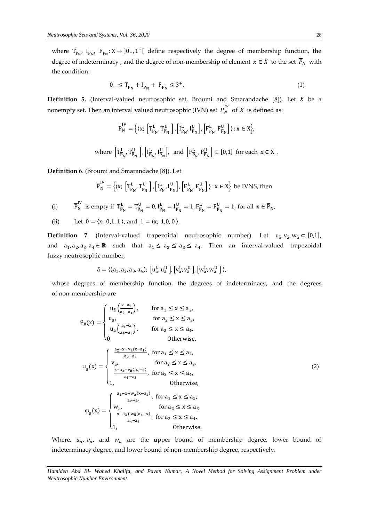where  $T_{\overline{P}_N}$ ,  $I_{\overline{P}_N}$ ;  $K \rightarrow 0$ <sub>−</sub>, 1<sup>+</sup>[ define respectively the degree of membership function, the degree of indeterminacy, and the degree of non-membership of element  $x \in X$  to the set  $\overline{P}_N$  with the condition:

$$
0_{-} \leq T_{\overline{P}_N} + I_{\overline{P}_N} + F_{\overline{P}_N} \leq 3^+.
$$
 (1)

**Definition 5.** (Interval-valued neutrosophic set, Broumi and Smarandache [8]). Let *X* be a nonempty set. Then an interval valued neutrosophic (IVN) set  $\overline{P}_{N}^{IV}$  of  $X$  is defined as:

$$
\overline{P}_N^{IV} = \Big\{ \langle x ; \, \left[T_{\overline{P}_N}^L, T_{\overline{P}_N}^U\right], \left[I_{\overline{P}_N}^L, I_{\overline{P}_N}^U\right], \left[F_{\overline{P}_N}^L, F_{\overline{P}_N}^U\right] \rangle : x \in X \Big\},
$$

where  $\left[T_{\overline{P}_N}^L, T_{\overline{P}_N}^U\right]$ ,  $\left[I_{\overline{P}_N}^L\right]$  $\frac{L}{P_N}$ ,  $I_{\overline{P}_N}^U$  $\frac{U}{P_N}$ , and  $\left[F_{\overline{P}_N}^L, F_{\overline{P}_N}^U\right] \subset [0,1]$  for each  $x \in X$ .

**Definition 6**. (Broumi and Smarandache [8]). Let

$$
\overline{P}_N^{IV} = \left\{ \left( x; \left[ T^L_{\overline{P}_N}, T^U_{\overline{P}_N} \right], \left[ I^L_{\overline{P}_N}, I^U_{\overline{P}_N} \right], \left[ F^L_{\overline{P}_N}, F^U_{\overline{P}_N} \right] \right\} : x \in X \right\} \text{ be IVNS, then}
$$

(i) 
$$
\overline{P}_N^{\text{IV}}
$$
 is empty if  $T_{\overline{P}_N}^{\text{L}} = T_{\overline{P}_N}^{\text{U}} = 0$ ,  $I_{\overline{P}_N}^{\text{L}} = I_{\overline{P}_N}^{\text{U}} = 1$ ,  $F_{\overline{P}_N}^{\text{L}} = F_{\overline{P}_N}^{\text{U}} = 1$ , for all  $x \in \overline{P}_N$ ,

(ii) Let  $0 = \langle x; 0,1,1 \rangle$ , and  $1 = \langle x; 1,0,0 \rangle$ .

**Definition** 7. (Interval-valued trapezoidal neutrosophic number). Let  $u_{\tilde{a}}$ ,  $v_{\tilde{a}}$ ,  $w_{\tilde{a}} \subset [0,1]$ , and  $a_1, a_2, a_3, a_4 \in \mathbb{R}$  such that  $a_1 \le a_2 \le a_3 \le a_4$ . Then an interval-valued trapezoidal fuzzy neutrosophic number,

$$
\tilde{a} = \langle (a_1, a_2, a_3, a_4); [u_{\tilde{a}}^L, u_{\tilde{a}}^U], [v_{\tilde{a}}^L, v_{\tilde{a}}^U], [w_{\tilde{a}}^L, w_{\tilde{a}}^U] \rangle
$$

whose degrees of membership function, the degrees of indeterminacy, and the degrees of non-membership are

$$
\vartheta_{\tilde{a}}(x) = \begin{cases}\nu_{\tilde{a}}\left(\frac{x-a_{1}}{a_{2}-a_{1}}\right), & \text{for } a_{1} \leq x \leq a_{2}, \\
u_{\tilde{a}}, & \text{for } a_{2} \leq x \leq a_{3}, \\
u_{\tilde{a}}\left(\frac{a_{4}-x}{a_{4}-a_{3}}\right), & \text{for } a_{3} \leq x \leq a_{4}, \\
0, & \text{Otherwise}, \\
u_{\tilde{a}}(x) = \begin{cases}\nv_{\tilde{a}}, & \text{for } a_{1} \leq x \leq a_{2}, \\
v_{\tilde{a}}, & \text{for } a_{2} \leq x \leq a_{3}, \\
\frac{x-a_{3}+v_{\tilde{a}}(a_{4}-x)}{a_{4}-a_{3}}, & \text{for } a_{3} \leq x \leq a_{4}, \\
1, & \text{Otherwise}, \\
u_{\tilde{a}}(x) = \begin{cases}\n\frac{a_{2}-x+w_{\tilde{a}}(x-a_{1})}{a_{2}-a_{1}}, & \text{for } a_{1} \leq x \leq a_{2}, \\
\frac{x-a_{3}+w_{\tilde{a}}(x-a_{1})}{a_{2}-a_{1}}, & \text{for } a_{1} \leq x \leq a_{2}, \\
w_{\tilde{a}}, & \text{for } a_{2} \leq x \leq a_{3}, \\
\frac{x-a_{3}+w_{\tilde{a}}(a_{4}-x)}{a_{4}-a_{3}}, & \text{for } a_{3} \leq x \leq a_{4}, \\
1, & \text{Otherwise}.\n\end{cases}\n\end{cases}
$$
\n(2)

Where,  $u_{\tilde{a}}$ ,  $v_{\tilde{a}}$ , and  $w_{\tilde{a}}$  are the upper bound of membership degree, lower bound of indeterminacy degree, and lower bound of non-membership degree, respectively.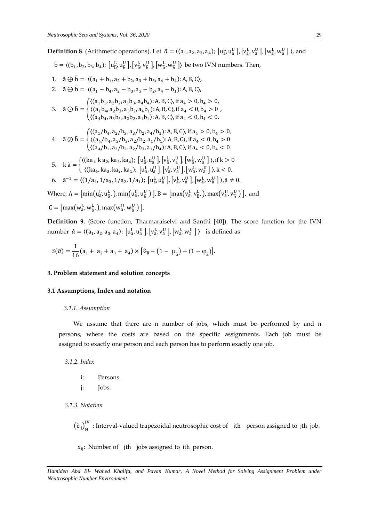**Definition 8**. (Arithmetic operations). Let  $\tilde{a} = ((a_1, a_2, a_3, a_4); [u_{\tilde{a}}^L, u_{\tilde{a}}^U], [v_{\tilde{a}}^L, v_{\tilde{a}}^U], [w_{\tilde{a}}^L, w_{\tilde{a}}^U])$ , and

,

 $\tilde{b} = \langle (b_1, b_2, b_3, b_4); [u_{\tilde{b}}^L, u_{\tilde{b}}^U], [v_{\tilde{b}}^L, v_{\tilde{b}}^U], [w_{\tilde{b}}^L, w_{\tilde{b}}^U] \rangle$  be two IVN numbers. Then,

- 1.  $\tilde{a} \oplus \tilde{b} = \langle (a_1 + b_1, a_2 + b_2, a_3 + b_3, a_4 + b_4) : A, B, C \rangle$
- 2.  $\tilde{a} \ominus \tilde{b} = \langle (a_1 b_4, a_2 b_3, a_3 b_2, a_4 b_1) : A, B, C \rangle$

3. 
$$
\tilde{a} \odot \tilde{b} = \begin{cases} \langle (a_1b_1, a_2b_2, a_3b_3, a_4b_4): A, B, C \rangle, \text{ if } a_4 > 0, b_4 > 0, \\ \langle (a_1b_4, a_2b_3, a_3b_2, a_4b_1): A, B, C \rangle, \text{ if } a_4 < 0, b_4 > 0 \\ \langle (a_4b_4, a_3b_3, a_2b_2, a_1b_1): A, B, C \rangle, \text{ if } a_4 < 0, b_4 < 0. \end{cases}
$$

4. 
$$
\tilde{a} \oslash \tilde{b} = \begin{cases} \langle (a_1/b_4, a_2/b_3, a_3/b_2, a_4/b_1): A, B, C \rangle, \text{if } a_4 > 0, b_4 > 0, \\ \langle (a_4/b_4, a_3/b_3, a_2/b_2, a_1/b_1): A, B, C \rangle, \text{if } a_4 < 0, b_4 > 0 \\ \langle (a_4/b_1, a_3/b_2, a_2/b_3, a_1/b_4): A, B, C \rangle, \text{if } a_4 < 0, b_4 < 0. \end{cases}
$$

- 5.  $k \tilde{a} = \begin{cases} ((ka_1, ka_2, ka_3, ka_4); [u_a^L, u_a^U], [v_a^L, v_a^U], [w_a^L, w_a^U]) , \text{if } k > 0 \\ (a_1, a_2, ka_3, ka_4); [u_a^L, u_a^U], [u_a^L, u_a^U], [u_a^L, u_a^U], \text{if } k > 0 \end{cases}$  $\langle$ (ka<sub>4</sub>, ka<sub>3</sub>, ka<sub>2</sub>, ka<sub>1</sub>); [u $_{\tilde{a}}^L$ , u $_{\tilde{a}}^U$ ], [v $_{\tilde{a}}^L$ , v $_{\tilde{a}}^U$ ], [w $_{\tilde{a}}^L$ , w $_{\tilde{a}}^U$ ]), k < 0.
- 6.  $\tilde{a}^{-1} = \langle (1/a_4, 1/a_3, 1/a_2, 1/a_1); [u_{\tilde{a}}^L, u_{\tilde{a}}^U], [v_{\tilde{a}}^L, v_{\tilde{a}}^U], [w_{\tilde{a}}^L, w_{\tilde{a}}^U] \rangle, \tilde{a} \neq 0.$

Where,  $A = \left[ \min(u_{\tilde{a}}^L, u_{\tilde{b}}^L, \ldots, \min(u_{\tilde{a}}^U, u_{\tilde{b}}^U) \right], B = \left[ \max(v_{\tilde{a}}^L, v_{\tilde{b}}^L, \ldots, \max(v_{\tilde{a}}^U, v_{\tilde{b}}^U) \right],$  and

$$
C = \left[ \max(w_{\tilde{a}}^L, w_{\tilde{b}}^L), \max(w_{\tilde{a}}^U, w_{\tilde{b}}^U) \right].
$$

**Definition 9.** (Score function, Tharmaraiselvi and Santhi [40]). The score function for the IVN number  $\tilde{a} = \langle (a_1, a_2, a_3, a_4); [u_{\tilde{a}}^L, u_{\tilde{a}}^U], [v_{\tilde{a}}^L, v_{\tilde{a}}^U], [w_{\tilde{a}}^L, w_{\tilde{a}}^U] \rangle$  is defined as

$$
S(\tilde{a}) = \frac{1}{16}(a_1 + a_2 + a_3 + a_4) \times [\vartheta_{\tilde{a}} + (1 - \mu_{\tilde{a}}) + (1 - \varphi_{\tilde{a}})].
$$

## **3. Problem statement and solution concepts**

## **3.1 Assumptions, Index and notation**

# *3.1.1. Assumption*

 We assume that there are n number of jobs, which must be performed by and n persons, where the costs are based on the specific assignments. Each job must be assigned to exactly one person and each person has to perform exactly one job.

 *3.1.2. Index*

- i: Persons.
- j: Jobs.

 *3.1.3. Notation*

 $(\tilde{c}_{ij})_N^{\text{IV}}$  : Interval-valued trapezoidal neutrosophic cost of ith person assigned to jth job.

xij: Number of jth jobs assigned to ith person.

*Hamiden Abd El- Wahed Khalifa, and Pavan Kumar, A Novel Method for Solving Assignment Problem under Neutrosophic Number Environment*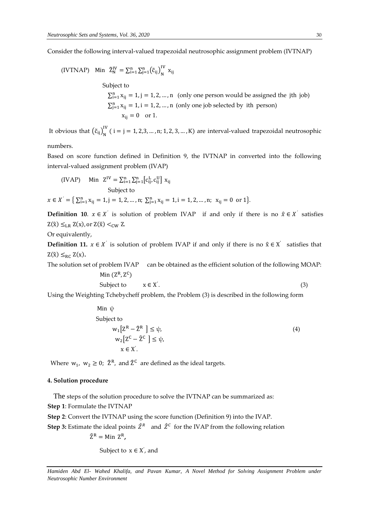Consider the following interval-valued trapezoidal neutrosophic assignment problem (IVTNAP)

(IVTNAP) Min 
$$
\tilde{Z}_N^{IV} = \sum_{i=1}^n \sum_{j=1}^n (\tilde{c}_{ij})_N^{IV} x_{ij}
$$
  
\nSubject to  
\n
$$
\sum_{i=1}^n x_{ij} = 1, j = 1, 2, ..., n \text{ (only one person would be assigned the jth job)}
$$
\n
$$
\sum_{j=1}^n x_{ij} = 1, i = 1, 2, ..., n \text{ (only one job selected by ith person)}
$$
\n
$$
x_{ij} = 0 \text{ or } 1.
$$

It obvious that  $(\tilde{c}_{ij})_N^{\text{IV}}$  ( i = j = 1, 2,3, ..., n; 1, 2, 3, ..., K) are interval-valued trapezoidal neutrosophic

numbers.

Based on score function defined in Definition 9, the IVTNAP in converted into the following interval-valued assignment problem (IVAP)

$$
\begin{aligned} \text{(IVAP)} \quad &\text{Min } Z^{IV} = \sum_{i=1}^{n} \sum_{j=1}^{n} \left[ c_{ij}^{L}, c_{ij}^{U} \right] x_{ij} \\ &\text{Subject to} \\ x \in X^{'} = \left\{ \sum_{i=1}^{n} x_{ij} = 1, j = 1, 2, \dots, n; \sum_{j=1}^{n} x_{ij} = 1, i = 1, 2, \dots, n; \ x_{ij} = 0 \text{ or } 1 \right\}. \end{aligned}
$$

**Definition 10.**  $x \in X'$  is solution of problem IVAP if and only if there is no  $\hat{x} \in X'$  satisfies  $Z(\hat{x}) \leq_{LR} Z(x)$ , or  $Z(\hat{x}) <_{CW} Z$ .

Or equivalently,

**Definition 11.**  $x \in X'$  is solution of problem IVAP if and only if there is no  $\hat{x} \in X'$  satisfies that  $Z(\hat{x}) \leq_{RC} Z(x)$ .

The solution set of problem IVAP can be obtained as the efficient solution of the following MOAP: Min  $(Z^R, Z^C)$ 

$$
Subject to \t x \in X'. \t(3)
$$

Using the Weighting Tchebycheff problem, the Problem (3) is described in the following form

Min 
$$
\psi
$$
  
\nSubject to  
\n
$$
w_1[Z^R - 2^R] \le \psi,
$$
\n
$$
w_2[Z^C - \hat{Z}^C] \le \psi,
$$
\n
$$
x \in X'.
$$
\n(4)

Where  $w_1$ ,  $w_2 \ge 0$ ;  $\hat{Z}^R$ , and  $\hat{Z}^C$  are defined as the ideal targets.

## **4. Solution procedure**

 The steps of the solution procedure to solve the IVTNAP can be summarized as: **Step 1**: Formulate the IVTNAP

**Step 2**: Convert the IVTNAP using the score function (Definition 9) into the IVAP.

**Step 3:** Estimate the ideal points  $\hat{Z}^R$  and  $\hat{Z}^C$  for the IVAP from the following relation

 $\hat{Z}^R =$  Min  $Z^R$ ,

Subject to  $x \in X'$ , and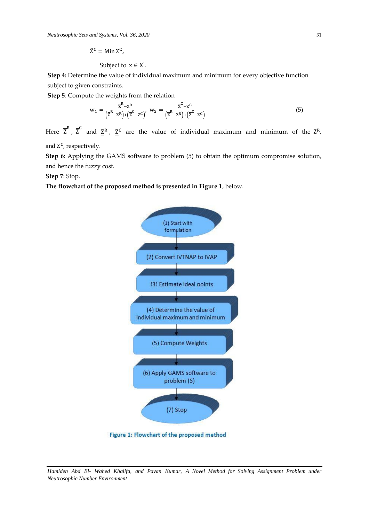$\hat{Z}^C$  = Min  $Z^C$ ,

Subject to 
$$
x \in X'
$$
.

**Step 4:** Determine the value of individual maximum and minimum for every objective function subject to given constraints.

**Step 5**: Compute the weights from the relation

$$
w_1 = \frac{\overline{z}^R - \underline{z}^R}{(\overline{z}^R - \underline{z}^R) + (\overline{z}^C - \underline{z}^C)} \quad w_2 = \frac{\overline{z}^C - \underline{z}^C}{(\overline{z}^R - \underline{z}^R) + (\overline{z}^C - \underline{z}^C)}
$$
(5)

Here  $\overline{Z}^R$  ,  $\overline{Z}^C$  and  $\underline{Z}^R$  ,  $\underline{Z}^C$  are the value of individual maximum and minimum of the  $Z^R$ ,

and Z<sup>C</sup>, respectively.

**Step 6**: Applying the GAMS software to problem (5) to obtain the optimum compromise solution, and hence the fuzzy cost.

**Step 7**: Stop.

# **The flowchart of the proposed method is presented in Figure 1**, below.



Figure 1: Flowchart of the proposed method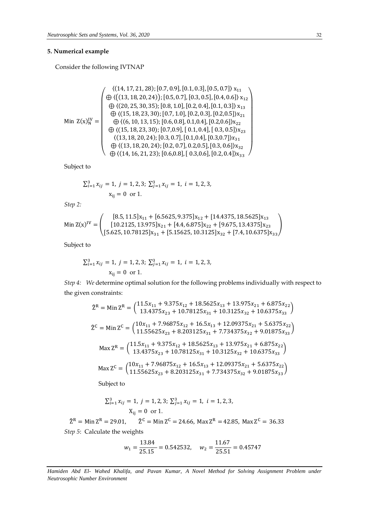# **5. Numerical example**

Consider the following IVTNAP

$$
\text{Min } Z(x)_{N}^{IV} = \left(\begin{array}{c} \langle (14, 17, 21, 28); [0.7, 0.9], [0.1, 0.3], [0.5, 0.7] \rangle x_{11} \\ \oplus \langle ((13, 18, 20, 24)); [0.5, 0.7], [0.3, 0.5], [0.4, 0.6] \rangle x_{12} \\ \oplus \langle (20, 25, 30, 35); [0.8, 1.0], [0.2, 0.4], [0.1, 0.3] \rangle x_{13} \\ \oplus \langle (15, 18, 23, 30); [0.7, 1.0], [0.2, 0.3], [0.2, 0.5] \rangle x_{21} \\ \oplus \langle (15, 18, 23, 30); [0.7, 0.9], [0.1, 0.4], [0.2, 0.6] \rangle x_{22} \\ \oplus \langle (15, 18, 23, 30); [0.7, 0.9], [0.1, 0.4], [0.3, 0.5] \rangle x_{23} \\ \oplus \langle (13, 18, 20, 24); [0.3, 0.7], [0.1, 0.4], [0.3, 0.7] \rangle x_{31} \\ \oplus \langle (14, 16, 21, 23); [0.6, 0.8], [0.3, 0.6], [0.2, 0.4] \rangle x_{33} \end{array}\right)
$$

Subject to

$$
\sum_{i=1}^{3} x_{ij} = 1, \ j = 1, 2, 3; \ \sum_{j=1}^{3} x_{ij} = 1, \ i = 1, 2, 3, \ x_{ij} = 0 \text{ or } 1.
$$

*Step 2:*

$$
\text{Min}\,\mathbf{Z}(\mathbf{x})^{\text{IV}} = \begin{pmatrix} [8.5, 11.5] \mathbf{x}_{11} + [6.5625, 9.375] \mathbf{x}_{12} + [14.4375, 18.5625] \mathbf{x}_{13} \\ [10.2125, 13.975] \mathbf{x}_{21} + [4.4, 6.875] \mathbf{x}_{22} + [9.675, 13.4375] \mathbf{x}_{23} \\ [5.625, 10.78125] \mathbf{x}_{31} + [5.15625, 10.3125] \mathbf{x}_{32} + [7.4, 10.6375] \mathbf{x}_{33} \end{pmatrix}
$$

Subject to

$$
\sum_{i=1}^{3} x_{ij} = 1, \ j = 1, 2, 3; \ \sum_{j=1}^{3} x_{ij} = 1, \ i = 1, 2, 3, \ x_{ij} = 0 \text{ or } 1.
$$

*Step* 4: We determine optimal solution for the following problems individually with respect to the given constraints:

$$
\hat{Z}^{R} = \text{Min } Z^{R} = \begin{pmatrix} 11.5x_{11} + 9.375x_{12} + 18.5625x_{13} + 13.975x_{21} + 6.875x_{22} \\ 13.4375x_{23} + 10.78125x_{31} + 10.3125x_{32} + 10.6375x_{33} \end{pmatrix}
$$
  
\n
$$
\hat{Z}^{C} = \text{Min } Z^{C} = \begin{pmatrix} 10x_{11} + 7.96875x_{12} + 16.5x_{13} + 12.09375x_{21} + 5.6375x_{22} \\ 11.55625x_{23} + 8.203125x_{31} + 7.734375x_{32} + 9.01875x_{33} \end{pmatrix}
$$
  
\n
$$
\text{Max } Z^{R} = \begin{pmatrix} 11.5x_{11} + 9.375x_{12} + 18.5625x_{13} + 13.975x_{21} + 6.875x_{22} \\ 13.4375x_{23} + 10.78125x_{31} + 10.3125x_{32} + 10.6375x_{33} \end{pmatrix}
$$
  
\n
$$
\text{Max } Z^{C} = \begin{pmatrix} 10x_{11} + 7.96875x_{12} + 16.5x_{13} + 12.09375x_{21} + 5.6375x_{22} \\ 11.55625x_{23} + 8.203125x_{31} + 7.734375x_{32} + 9.01875x_{33} \end{pmatrix}
$$

Subject to

$$
\sum_{i=1}^{3} x_{ij} = 1, \ j = 1, 2, 3; \ \sum_{j=1}^{3} x_{ij} = 1, \ i = 1, 2, 3, \ X_{ij} = 0 \text{ or } 1.
$$

 $\hat{Z}^R$  = Min  $Z^R$  = 29.01,  $R = 29.01$ ,  $\hat{Z}^C = Min Z^C = 24.66$ ,  $Max Z^R = 42.85$ ,  $Max Z^C = 36.33$ *Step 5*:Calculate the weights

$$
w_1 = \frac{13.84}{25.15} = 0.542532, \quad w_2 = \frac{11.67}{25.51} = 0.45747
$$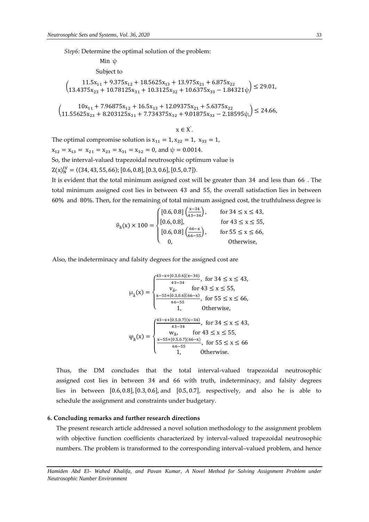*Step6:* Determine the optimal solution of the problem:

Min ψ Subject to

 $\begin{pmatrix} 11.5x_{11} + 9.375x_{12} + 18.5625x_{13} + 13.975x_{21} + 6.875x_{22} \\ 12.4275x_{11} + 10.79125x_{12} + 10.2125x_{13} + 10.6275x_{14} - 1.841 \end{pmatrix}$  $13.4375x_{23} + 10.78125x_{31} + 10.3125x_{32} + 10.6375x_{33} - 1.84321\psi$   $\leq 29.01$ ,

 $\begin{pmatrix} 10x_{11} + 7.96875x_{12} + 16.5x_{13} + 12.09375x_{21} + 5.6375x_{22} \\ 1155625x + 8.203125x + 7.734375x + 9.01975x - 2.19 \end{pmatrix}$ 11.55625x<sub>23</sub> + 8.203125x<sub>31</sub> + 7.734375x<sub>32</sub> + 9.01875x<sub>33</sub> − 2.18595ψ,) ≤ 24.66,

 $x \in X$  $\mathbf{L}$ 

The optimal compromise solution is  $x_{11} = 1, x_{22} = 1, x_{33} = 1$ ,  $x_{12} = x_{13} = x_{21} = x_{23} = x_{31} = x_{32} = 0$ , and  $\psi = 0.0014$ . So, the interval-valued trapezoidal neutrosophic optimum value is  $Z(x)_{N}^{IV} = \langle (34, 43, 55, 66); [0.6, 0.8], [0.3, 0.6], [0.5, 0.7] \rangle.$ 

It is evident that the total minimum assigned cost will be greater than 34 and less than 66 . The total minimum assigned cost lies in between 43 and 55, the overall satisfaction lies in between 60% and 80%. Then, for the remaining of total minimum assigned cost, the truthfulness degree is

$$
\vartheta_{\tilde{a}}(x) \times 100 = \begin{cases}\n[0.6, 0.8] \left(\frac{x-34}{43-34}\right), & \text{for } 34 \le x \le 43, \\
[0.6, 0.8], & \text{for } 43 \le x \le 55, \\
[0.6, 0.8] \left(\frac{66-x}{66-55}\right), & \text{for } 55 \le x \le 66, \\
0, & \text{Otherwise,} \n\end{cases}
$$

Also, the indeterminacy and falsity degrees for the assigned cost are

$$
\mu_{\tilde{a}}(x) = \begin{cases}\n\frac{43 - x + [0.3, 0.6](x - 34)}{43 - 34}, & \text{for } 34 \le x \le 43, \\
v_{\tilde{a}}, & \text{for } 43 \le x \le 55, \\
\frac{x - 55 + [0.3, 0.6](66 - x)}{66 - 55}, & \text{for } 55 \le x \le 66, \\
1, & \text{Otherwise,} \\
\varphi_{\tilde{a}}(x) = \begin{cases}\n\frac{43 - x + [0.5, 0.7](x - 34)}{43 - 34}, & \text{for } 34 \le x \le 43, \\
w_{\tilde{a}}, & \text{for } 43 \le x \le 55, \\
\frac{x - 55 + [0.5, 0.7](66 - x)}{66 - 55}, & \text{for } 55 \le x \le 66 \\
1, & \text{Otherwise.}\n\end{cases}
$$

Thus, the DM concludes that the total interval-valued trapezoidal neutrosophic assigned cost lies in between 34 and 66 with truth, indeterminacy, and falsity degrees lies in between [0.6, 0.8],[0.3, 0.6], and [0.5, 0.7], respectively, and also he is able to schedule the assignment and constraints under budgetary.

## **6. Concluding remarks and further research directions**

The present research article addressed a novel solution methodology to the assignment problem with objective function coefficients characterized by interval-valued trapezoidal neutrosophic numbers. The problem is transformed to the corresponding interval–valued problem, and hence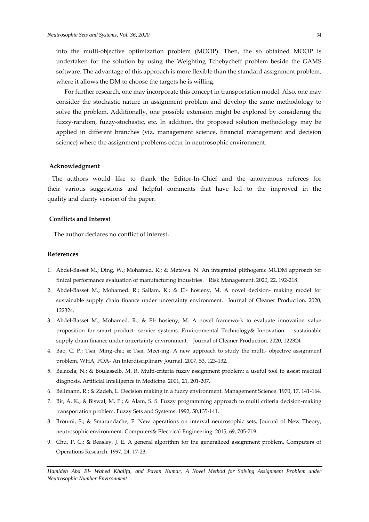into the multi-objective optimization problem (MOOP). Then, the so obtained MOOP is undertaken for the solution by using the Weighting Tchebycheff problem beside the GAMS software. The advantage of this approach is more flexible than the standard assignment problem, where it allows the DM to choose the targets he is willing.

 For further research, one may incorporate this concept in transportation model. Also, one may consider the stochastic nature in assignment problem and develop the same methodology to solve the problem. Additionally, one possible extension might be explored by considering the fuzzy-random, fuzzy-stochastic, etc. In addition, the proposed solution methodology may be applied in different branches (viz. management science, financial management and decision science) where the assignment problems occur in neutrosophic environment.

### **Acknowledgment**

The authors would like to thank the Editor-In-Chief and the anonymous referees for their various suggestions and helpful comments that have led to the improved in the quality and clarity version of the paper.

## **Conflicts and Interest**

The author declares no conflict of interest**.**

## **References**

- 1. Abdel-Basset M.; Ding, W.; Mohamed. R.; & Metawa. N. An integrated plithogenic MCDM approach for finical performance evaluation of manufacturing industries. Risk Management. 2020, 22, 192-218.
- 2. Abdel-Basset M.; Mohamed. R.; Sallam. K.; & El- hosieny, M. A novel decision- making model for sustainable supply chain finance under uncertainty environment. Journal of Cleaner Production. 2020, 122324.
- 3. Abdel-Basset M.; Mohamed. R.; & El- hosieny, M. A novel framework to evaluate innovation value proposition for smart product- service systems. Environmental Technology& Innovation. sustainable supply chain finance under uncertainty environment. Journal of Cleaner Production. 2020, 122324
- 4. Bao, C. P.; Tsai, Ming-chi.; & Tsai, Meei-ing. A new approach to study the multi- objective assignment problem. WHA, POA- An Interdisciplinary Journal. 2007, 53, 123-132.
- 5. Belacela, N.; & Boulasselb, M. R. Multi-criteria fuzzy assignment problem: a useful tool to assist medical diagnosis. Artificial Intelligence in Medicine. 2001, 21, 201-207.
- 6. Bellmann, R.; & Zadeh, L. Decision making in a fuzzy environment. Management Science. 1970, 17, 141-164.
- 7. Bit, A. K.; & Biswal, M. P.; & Alam, S. S. Fuzzy programming approach to multi criteria decision-making transportation problem. Fuzzy Sets and Systems. 1992, 50,135-141.
- 8. Broumi, S.; & Smarandache, F. New operations on interval neutrosophic sets, Journal of New Theory, neutrosophic environment. Computers& Electrical Engineering. 2015, 69, 705-719.
- 9. Chu, P. C.; & Beasley, J. E. A general algorithm for the generalized assignment problem. Computers of Operations Research. 1997, 24, 17-23.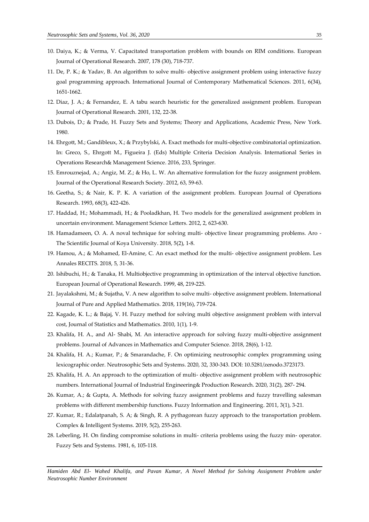- 10. Daiya, K.; & Verma, V. Capacitated transportation problem with bounds on RIM conditions. European Journal of Operational Research. 2007, 178 (30), 718-737.
- 11. De, P. K.; & Yadav, B. An algorithm to solve multi- objective assignment problem using interactive fuzzy goal programming approach. International Journal of Contemporary Mathematical Sciences. 2011, 6(34), 1651-1662.
- 12. Diaz, J. A.; & Fernandez, E. A tabu search heuristic for the generalized assignment problem. European Journal of Operational Research. 2001, 132, 22-38.
- 13. Dubois, D.; & Prade, H. Fuzzy Sets and Systems; Theory and Applications, Academic Press, New York. 1980.
- 14. Ehrgott, M.; Gandibleux, X.; & Przybylski, A. Exact methods for multi-objective combinatorial optimization. In: Greco, S., Ehrgott M., Figueira J. (Eds) Multiple Criteria Decision Analysis. International Series in Operations Research& Management Science. 2016, 233, Springer.
- 15. Emrouznejad, A.; Angiz, M. Z.; & Ho, L. W. An alternative formulation for the fuzzy assignment problem. Journal of the Operational Research Society. 2012, 63, 59-63.
- 16. Geetha, S.; & Nair, K. P. K. A variation of the assignment problem. European Journal of Operations Research. 1993, 68(3), 422-426.
- 17. Haddad, H.; Mohammadi, H.; & Pooladkhan, H. Two models for the generalized assignment problem in uncertain environment. Management Science Letters. 2012, 2, 623-630.
- 18. Hamadameen, O. A. A noval technique for solving multi- objective linear programming problems. Aro The Scientific Journal of Koya University. 2018, 5(2), 1-8.
- 19. Hamou, A.; & Mohamed, El-Amine, C. An exact method for the multi- objective assignment problem. Les Annales RECITS. 2018, 5, 31-36.
- 20. Ishibuchi, H.; & Tanaka, H. Multiobjective programming in optimization of the interval objective function. European Journal of Operational Research. 1999, 48, 219-225.
- 21. Jayalakshmi, M.; & Sujatha, V. A new algorithm to solve multi- objective assignment problem. International Journal of Pure and Applied Mathematics. 2018, 119(16), 719-724.
- 22. Kagade, K. L.; & Bajaj, V. H. Fuzzy method for solving multi objective assignment problem with interval cost, Journal of Statistics and Mathematics. 2010, 1(1), 1-9.
- 23. Khalifa, H. A., and Al- Shabi, M. An interactive approach for solving fuzzy multi-objective assignment problems. Journal of Advances in Mathematics and Computer Science. 2018, 28(6), 1-12.
- 24. Khalifa, H. A.; Kumar, P.; & Smarandache, F. [On optimizing neutrosophic complex programming using](http://fs.unm.edu/NSS/OnOptimizingNeutrosophic20.pdf)  [lexicographic order.](http://fs.unm.edu/NSS/OnOptimizingNeutrosophic20.pdf) Neutrosophic Sets and Systems. 2020, 32, 330-343. DOI: 10.5281/zenodo.3723173.
- 25. Khalifa, H. A. An approach to the optimization of multi- objective assignment problem with neutrosophic numbers. International Journal of Industrial Engineering& Production Research. 2020, 31(2), 287- 294.
- 26. Kumar, A.; & Gupta, A. Methods for solving fuzzy assignment problems and fuzzy travelling salesman problems with different membership functions. Fuzzy Information and Engineering. 2011, 3(1), 3-21.
- 27. Kumar, R.; Edalatpanah, S. A; & Singh, R. A pythagorean fuzzy approach to the transportation problem. Complex & Intelligent Systems. 2019, 5(2), 255-263.
- 28. Leberling, H. On finding compromise solutions in multi- criteria problems using the fuzzy min- operator. Fuzzy Sets and Systems. 1981, 6, 105-118.